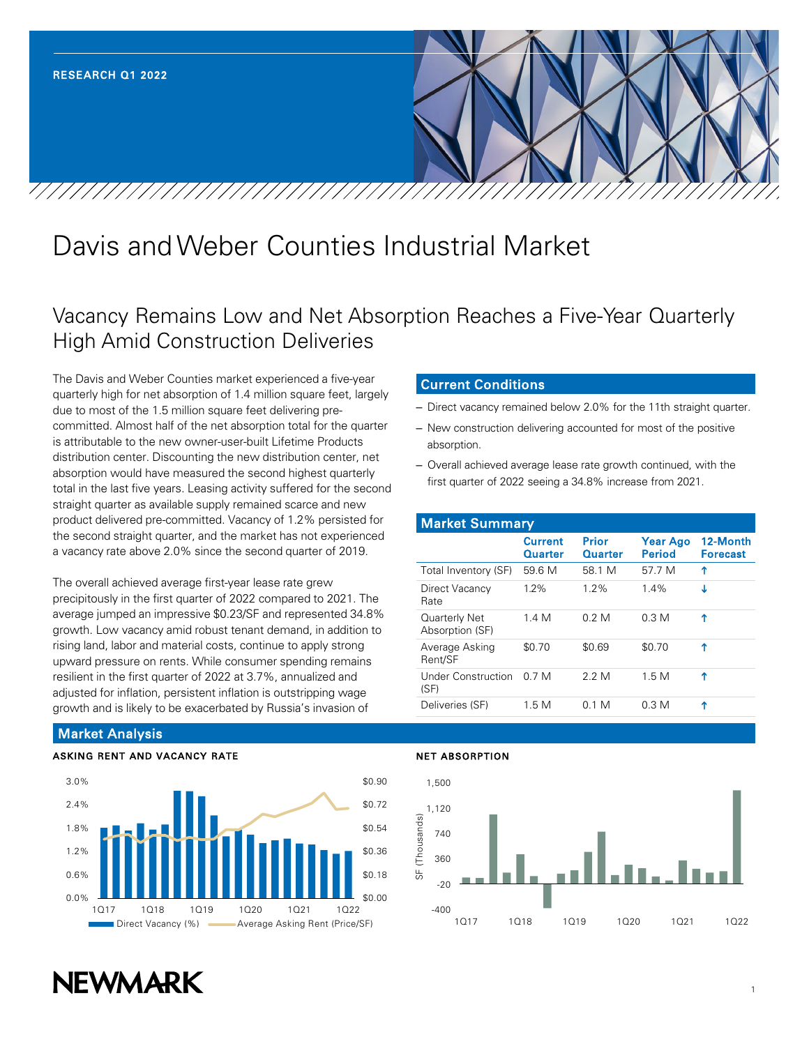

# Davis and Weber Counties Industrial Market

## Vacancy Remains Low and Net Absorption Reaches a Five-Year Quarterly High Amid Construction Deliveries

The Davis and Weber Counties market experienced a five-year quarterly high for net absorption of 1.4 million square feet, largely due to most of the 1.5 million square feet delivering precommitted. Almost half of the net absorption total for the quarter is attributable to the new owner-user-built Lifetime Products distribution center. Discounting the new distribution center, net absorption would have measured the second highest quarterly total in the last five years. Leasing activity suffered for the second straight quarter as available supply remained scarce and new product delivered pre-committed. Vacancy of 1.2% persisted for the second straight quarter, and the market has not experienced a vacancy rate above 2.0% since the second quarter of 2019.

The overall achieved average first-year lease rate grew precipitously in the first quarter of 2022 compared to 2021. The average jumped an impressive \$0.23/SF and represented 34.8% growth. Low vacancy amid robust tenant demand, in addition to rising land, labor and material costs, continue to apply strong upward pressure on rents. While consumer spending remains resilient in the first quarter of 2022 at 3.7%, annualized and adjusted for inflation, persistent inflation is outstripping wage growth and is likely to be exacerbated by Russia's invasion of

#### Current Conditions

- Direct vacancy remained below 2.0% for the 11th straight quarter.
- New construction delivering accounted for most of the positive absorption.
- Overall achieved average lease rate growth continued, with the first quarter of 2022 seeing a 34.8% increase from 2021.

| <b>Market Summary</b>             |                           |                                |                           |                             |  |  |  |
|-----------------------------------|---------------------------|--------------------------------|---------------------------|-----------------------------|--|--|--|
|                                   | <b>Current</b><br>Quarter | <b>Prior</b><br><b>Quarter</b> | <b>Year Ago</b><br>Period | 12-Month<br><b>Forecast</b> |  |  |  |
| Total Inventory (SF)              | 59.6 M                    | 58.1 M                         | 57 7 M                    | ↑                           |  |  |  |
| Direct Vacancy<br>Rate            | $1.2\%$                   | $1.2\%$                        | $1.4\%$                   | т                           |  |  |  |
| Quarterly Net<br>Absorption (SF)  | 1.4 M                     | 0.2 M                          | 0.3 <sub>M</sub>          | ↑                           |  |  |  |
| Average Asking<br>Rent/SF         | \$0.70                    | \$0.69                         | \$0.70                    | ↑                           |  |  |  |
| <b>Under Construction</b><br>(SF) | 0.7 M                     | 2 2 M                          | 1.5M                      | Υ                           |  |  |  |
| Deliveries (SF)                   | 1.5M                      | 0.1 M                          | 0.3 <sub>M</sub>          | ተ                           |  |  |  |

### Market Analysis

#### ASKING RENT AND VACANCY RATE



#### NET ABSORPTION

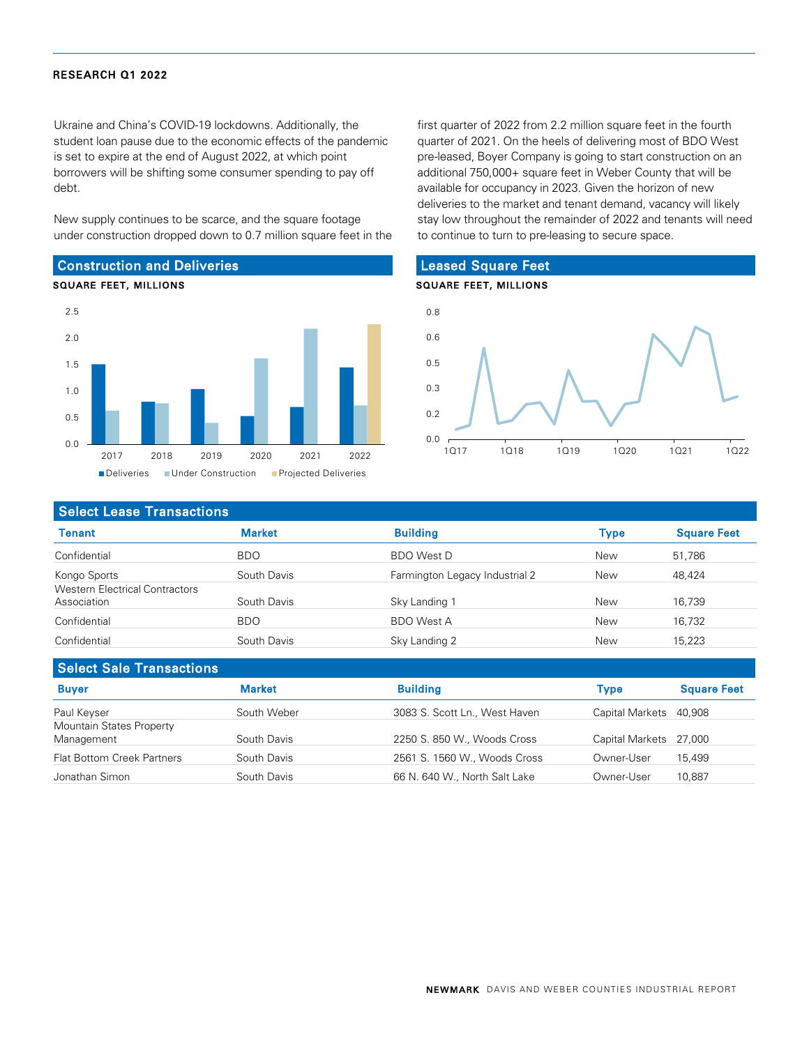Ukraine and China's COVID-19 lockdowns. Additionally, the student loan pause due to the economic effects of the pandemic is set to expire at the end of August 2022, at which point borrowers will be shifting some consumer spending to pay off debt.

New supply continues to be scarce, and the square footage under construction dropped down to 0.7 million square feet in the

## Construction and Deliveries





first quarter of 2022 from 2.2 million square feet in the fourth quarter of 2021. On the heels of delivering most of BDO West pre-leased, Boyer Company is going to start construction on an additional 750,000+ square feet in Weber County that will be available for occupancy in 2023. Given the horizon of new deliveries to the market and tenant demand, vacancy will likely stay low throughout the remainder of 2022 and tenants will need to continue to turn to pre-leasing to secure space.

#### Leased Square Feet

#### SQUARE FEET, MILLIONS



#### Select Lease Transactions

| Tenant                                               | <b>Market</b> | <b>Building</b>                | Type | <b>Square Feet</b> |
|------------------------------------------------------|---------------|--------------------------------|------|--------------------|
| Confidential                                         | <b>BDO</b>    | <b>BDO</b> West D              | New  | 51,786             |
| Kongo Sports                                         | South Davis   | Farmington Legacy Industrial 2 | New  | 48.424             |
| <b>Western Electrical Contractors</b><br>Association | South Davis   | Sky Landing 1                  | New  | 16,739             |
| Confidential                                         | <b>BDO</b>    | <b>BDO West A</b>              | New  | 16,732             |
| Confidential                                         | South Davis   | Sky Landing 2                  | New  | 15,223             |

| <b>Select Sale Transactions</b>   |               |                               |                        |                    |  |  |  |
|-----------------------------------|---------------|-------------------------------|------------------------|--------------------|--|--|--|
| <b>Buyer</b>                      | <b>Market</b> | <b>Building</b>               | <b>Type</b>            | <b>Square Feet</b> |  |  |  |
| Paul Keyser                       | South Weber   | 3083 S. Scott Ln., West Haven | Capital Markets        | 40.908             |  |  |  |
| Mountain States Property          |               |                               |                        |                    |  |  |  |
| Management                        | South Davis   | 2250 S. 850 W., Woods Cross   | Capital Markets 27,000 |                    |  |  |  |
| <b>Flat Bottom Creek Partners</b> | South Davis   | 2561 S. 1560 W., Woods Cross  | Owner-User             | 15.499             |  |  |  |
| Jonathan Simon                    | South Davis   | 66 N. 640 W., North Salt Lake | Owner-User             | 10,887             |  |  |  |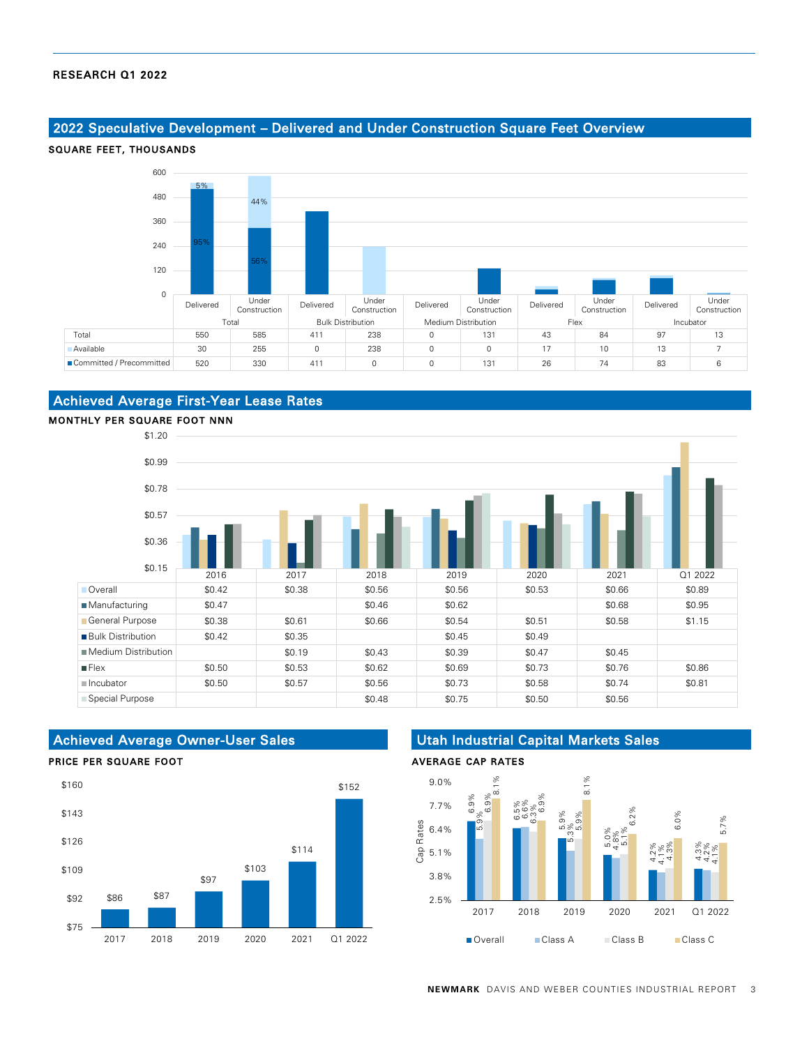#### 2022 Speculative Development – Delivered and Under Construction Square Feet Overview



## Achieved Average First-Year Lease Rates



## Achieved Average Owner-User Sales

#### PRICE PER SQUARE FOOT



## Utah Industrial Capital Markets Sales

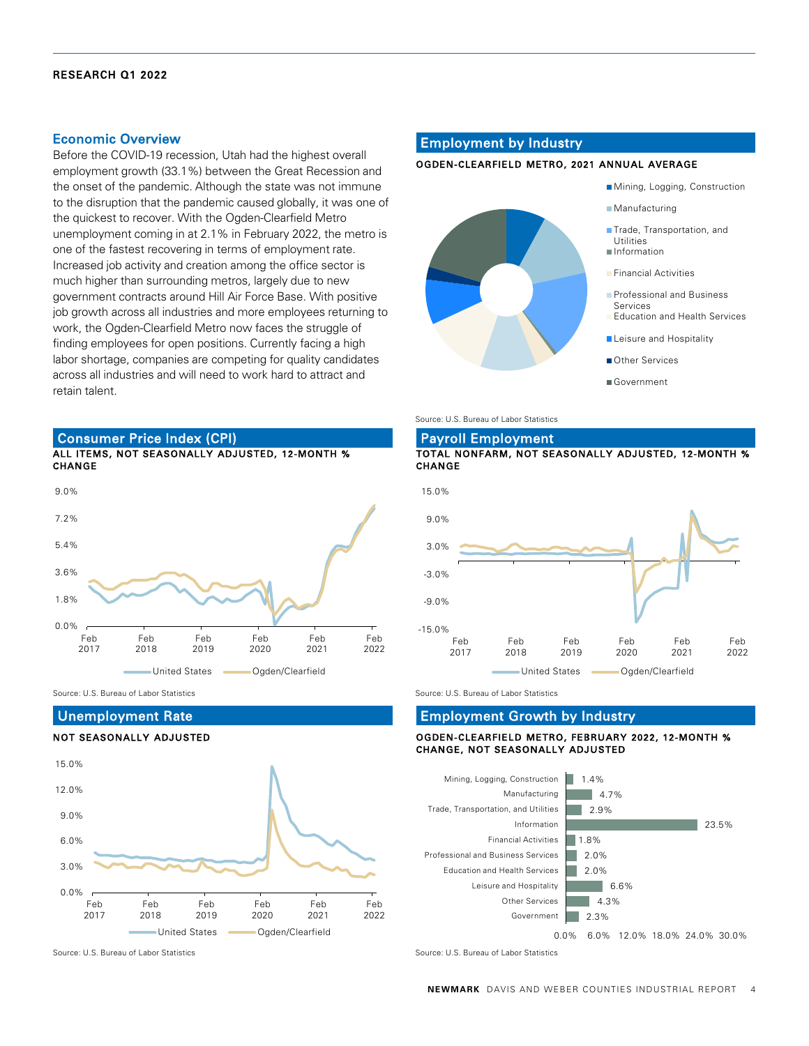#### Economic Overview

Before the COVID-19 recession, Utah had the highest overall employment growth (33.1%) between the Great Recession and the onset of the pandemic. Although the state was not immune to the disruption that the pandemic caused globally, it was one of the quickest to recover. With the Ogden-Clearfield Metro unemployment coming in at 2.1% in February 2022, the metro is one of the fastest recovering in terms of employment rate. Increased job activity and creation among the office sector is much higher than surrounding metros, largely due to new government contracts around Hill Air Force Base. With positive job growth across all industries and more employees returning to work, the Ogden-Clearfield Metro now faces the struggle of finding employees for open positions. Currently facing a high labor shortage, companies are competing for quality candidates across all industries and will need to work hard to attract and retain talent.

#### ALL ITEMS, NOT SEASONALLY ADJUSTED, 12-MONTH % Consumer Price Index (CPI)



Source: U.S. Bureau of Labor Statistics Source: U.S. Bureau of Labor Statistics Source: U.S. Bureau of Labor Statistics

#### Unemployment Rate

#### NOT SEASONALLY ADJUSTED



#### Employment by Industry

#### OGDEN-CLEARFIELD METRO, 2021 ANNUAL AVERAGE



Source: U.S. Bureau of Labor Statistics

## Payroll Employment

#### TOTAL NONFARM, NOT SEASONALLY ADJUSTED, 12-MONTH % **CHANGE**



#### OGDEN-CLEARFIELD METRO, FEBRUARY 2022, 12-MONTH % CHANGE, NOT SEASONALLY ADJUSTED Employment Growth by Industry



Source: U.S. Bureau of Labor Statistics Source: U.S. Bureau of Labor Statistics Source: U.S. Bureau of Labor Statistics